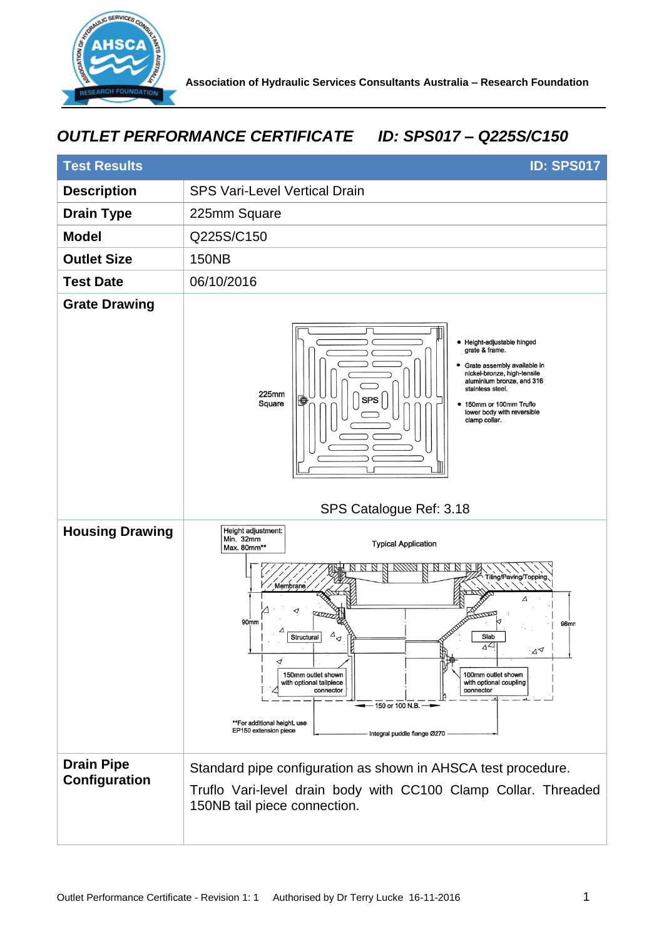

## *OUTLET PERFORMANCE CERTIFICATE ID: SPS017 – Q225S/C150*